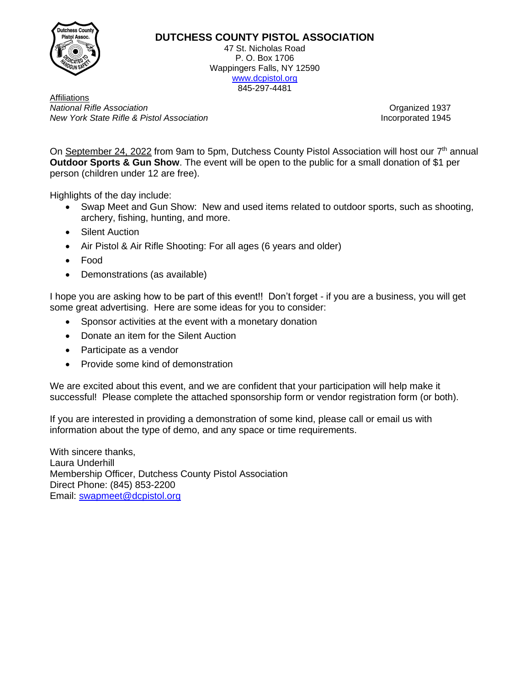

## **DUTCHESS COUNTY PISTOL ASSOCIATION**

47 St. Nicholas Road P. O. Box 1706 Wappingers Falls, NY 12590 [www.dcpistol.org](http://www.dcpistol.org/) 845-297-4481

Affiliations **National Rifle Association Contract Contract Contract Contract Contract Contract Contract Contract Contract Contract Contract Contract Contract Contract Contract Contract Contract Contract Contract Contract Contract Con** *New York State Rifle & Pistol Association* Incorporated 1945

On September 24, 2022 from 9am to 5pm, Dutchess County Pistol Association will host our 7<sup>th</sup> annual **Outdoor Sports & Gun Show**. The event will be open to the public for a small donation of \$1 per person (children under 12 are free).

Highlights of the day include:

- Swap Meet and Gun Show: New and used items related to outdoor sports, such as shooting, archery, fishing, hunting, and more.
- Silent Auction
- Air Pistol & Air Rifle Shooting: For all ages (6 years and older)
- Food
- Demonstrations (as available)

I hope you are asking how to be part of this event!! Don't forget - if you are a business, you will get some great advertising. Here are some ideas for you to consider:

- Sponsor activities at the event with a monetary donation
- Donate an item for the Silent Auction
- Participate as a vendor
- Provide some kind of demonstration

We are excited about this event, and we are confident that your participation will help make it successful! Please complete the attached sponsorship form or vendor registration form (or both).

If you are interested in providing a demonstration of some kind, please call or email us with information about the type of demo, and any space or time requirements.

With sincere thanks, Laura Underhill Membership Officer, Dutchess County Pistol Association Direct Phone: (845) 853-2200 Email: [swapmeet@dcpistol.org](mailto:swapmeet@dcpistol.org)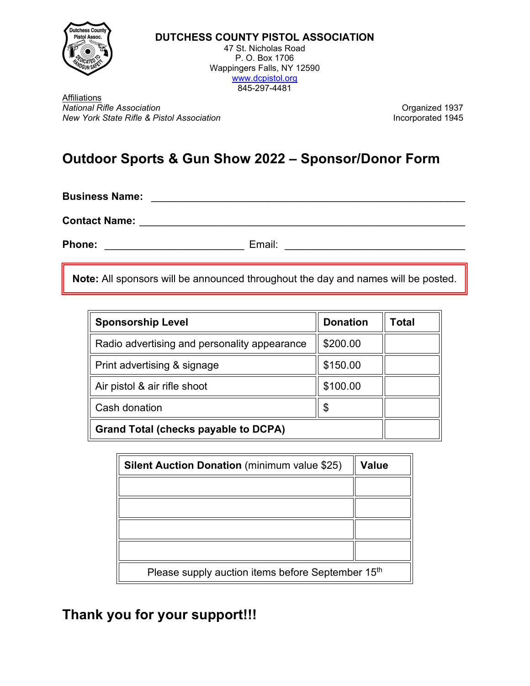

**DUTCHESS COUNTY PISTOL ASSOCIATION** 47 St. Nicholas Road P. O. Box 1706 Wappingers Falls, NY 12590 [www.dcpistol.org](http://www.dcpistol.org/)

845-297-4481

Affiliations *National Rifle Association*<br> *New York State Rifle & Pistol Association*<br> *New York State Rifle & Pistol Association New York State Rifle & Pistol Association* 

# **Outdoor Sports & Gun Show 2022 – Sponsor/Donor Form**

**Business Name:** \_\_\_\_\_\_\_\_\_\_\_\_\_\_\_\_\_\_\_\_\_\_\_\_\_\_\_\_\_\_\_\_\_\_\_\_\_\_\_\_\_\_\_\_\_\_\_\_\_\_\_\_\_\_

**Contact Name:** \_\_\_\_\_\_\_\_\_\_\_\_\_\_\_\_\_\_\_\_\_\_\_\_\_\_\_\_\_\_\_\_\_\_\_\_\_\_\_\_\_\_\_\_\_\_\_\_\_\_\_\_\_\_\_\_

Phone: \_\_\_\_\_\_\_\_\_\_\_\_\_\_\_\_\_\_\_\_\_\_\_\_\_\_\_\_\_\_\_\_\_\_ Email: \_\_\_\_\_\_\_\_\_\_\_\_\_\_\_\_\_\_\_\_\_\_\_\_\_\_\_\_\_\_\_\_

**Note:** All sponsors will be announced throughout the day and names will be posted.

| <b>Sponsorship Level</b>                     | <b>Donation</b> | Total |
|----------------------------------------------|-----------------|-------|
| Radio advertising and personality appearance | \$200.00        |       |
| Print advertising & signage                  | \$150.00        |       |
| Air pistol & air rifle shoot                 | \$100.00        |       |
| Cash donation                                | \$              |       |
| <b>Grand Total (checks payable to DCPA)</b>  |                 |       |

| <b>Silent Auction Donation (minimum value \$25)</b>           | Value |  |
|---------------------------------------------------------------|-------|--|
|                                                               |       |  |
|                                                               |       |  |
|                                                               |       |  |
|                                                               |       |  |
| Please supply auction items before September 15 <sup>th</sup> |       |  |

# **Thank you for your support!!!**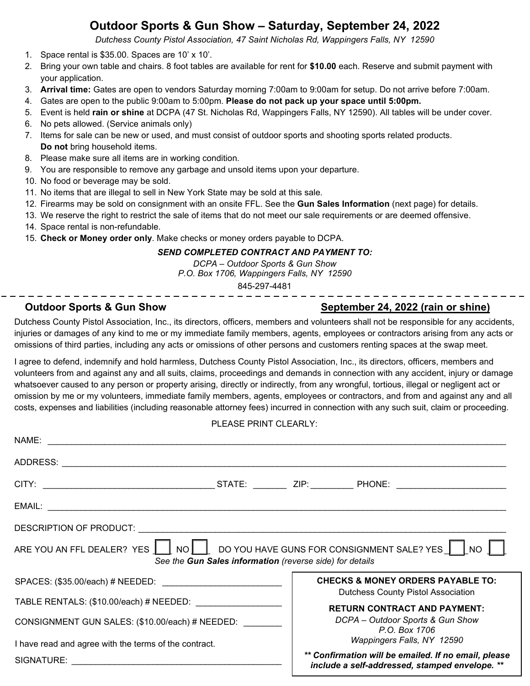## **Outdoor Sports & Gun Show – Saturday, September 24, 2022**

*Dutchess County Pistol Association, 47 Saint Nicholas Rd, Wappingers Falls, NY 12590*

- 1. Space rental is \$35.00. Spaces are 10' x 10'.
- 2. Bring your own table and chairs. 8 foot tables are available for rent for **\$10.00** each. Reserve and submit payment with your application.
- 3. **Arrival time:** Gates are open to vendors Saturday morning 7:00am to 9:00am for setup. Do not arrive before 7:00am.
- 4. Gates are open to the public 9:00am to 5:00pm. **Please do not pack up your space until 5:00pm.**
- 5. Event is held **rain or shine** at DCPA (47 St. Nicholas Rd, Wappingers Falls, NY 12590). All tables will be under cover.
- 6. No pets allowed. (Service animals only)
- 7. Items for sale can be new or used, and must consist of outdoor sports and shooting sports related products. **Do not** bring household items.
- 8. Please make sure all items are in working condition.
- 9. You are responsible to remove any garbage and unsold items upon your departure.
- 10. No food or beverage may be sold.
- 11. No items that are illegal to sell in New York State may be sold at this sale.
- 12. Firearms may be sold on consignment with an onsite FFL. See the **Gun Sales Information** (next page) for details.
- 13. We reserve the right to restrict the sale of items that do not meet our sale requirements or are deemed offensive.
- 14. Space rental is non-refundable.
- 15. **Check or Money order only**. Make checks or money orders payable to DCPA.

### *SEND COMPLETED CONTRACT AND PAYMENT TO:*

*DCPA – Outdoor Sports & Gun Show P.O. Box 1706, Wappingers Falls, NY 12590*

845-297-4481

## **Outdoor Sports & Gun Show September 24, 2022 (rain or shine)**

Dutchess County Pistol Association, Inc., its directors, officers, members and volunteers shall not be responsible for any accidents, injuries or damages of any kind to me or my immediate family members, agents, employees or contractors arising from any acts or omissions of third parties, including any acts or omissions of other persons and customers renting spaces at the swap meet.

I agree to defend, indemnify and hold harmless, Dutchess County Pistol Association, Inc., its directors, officers, members and volunteers from and against any and all suits, claims, proceedings and demands in connection with any accident, injury or damage whatsoever caused to any person or property arising, directly or indirectly, from any wrongful, tortious, illegal or negligent act or omission by me or my volunteers, immediate family members, agents, employees or contractors, and from and against any and all costs, expenses and liabilities (including reasonable attorney fees) incurred in connection with any such suit, claim or proceeding.

### PLEASE PRINT CLEARLY:

| ARE YOU AN FFL DEALER? YES   NO   O YOU HAVE GUNS FOR CONSIGNMENT SALE? YES   NO | See the Gun Sales information (reverse side) for details |  |                                                                                                                                  |  |
|----------------------------------------------------------------------------------|----------------------------------------------------------|--|----------------------------------------------------------------------------------------------------------------------------------|--|
|                                                                                  |                                                          |  | <b>CHECKS &amp; MONEY ORDERS PAYABLE TO:</b><br><b>Dutchess County Pistol Association</b><br><b>RETURN CONTRACT AND PAYMENT:</b> |  |
| TABLE RENTALS: (\$10.00/each) # NEEDED: __________________                       |                                                          |  |                                                                                                                                  |  |
| CONSIGNMENT GUN SALES: (\$10.00/each) # NEEDED:                                  |                                                          |  | DCPA - Outdoor Sports & Gun Show<br>P.O. Box 1706                                                                                |  |
| I have read and agree with the terms of the contract.                            |                                                          |  | Wappingers Falls, NY 12590                                                                                                       |  |
|                                                                                  |                                                          |  | ** Confirmation will be emailed. If no email, please<br>include a self-addressed, stamped envelope. **                           |  |